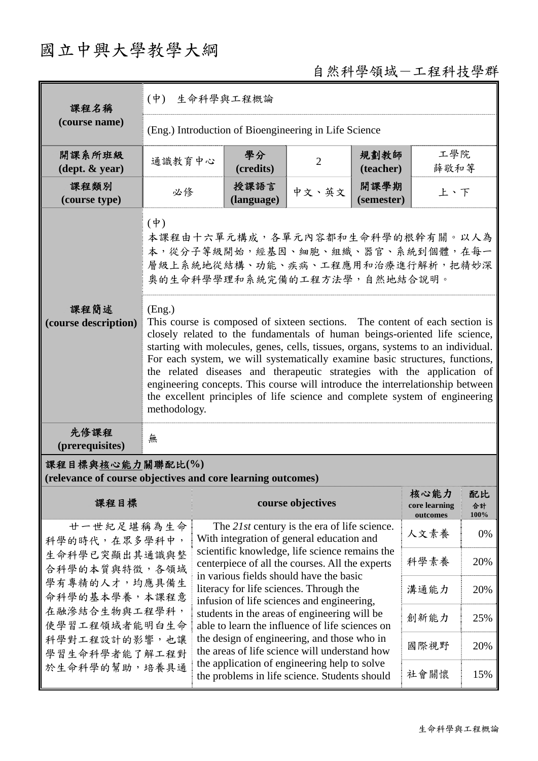## 國立中興大學教學大綱

## 自然科學領域-工程科技學群

| 課程名稱                                                                                                                                                                | $(\dot{\Psi})$<br>生命科學與工程概論                                                                                                                                                                                                                                                                                                                                                                                                                                                                                                                                                                                                                                                                                                                                 |                                                                                                                                                                                                                                                                                                                                                                                  |                   |                    |                                   |                  |               |  |                                                                                               |  |  |      |     |
|---------------------------------------------------------------------------------------------------------------------------------------------------------------------|-------------------------------------------------------------------------------------------------------------------------------------------------------------------------------------------------------------------------------------------------------------------------------------------------------------------------------------------------------------------------------------------------------------------------------------------------------------------------------------------------------------------------------------------------------------------------------------------------------------------------------------------------------------------------------------------------------------------------------------------------------------|----------------------------------------------------------------------------------------------------------------------------------------------------------------------------------------------------------------------------------------------------------------------------------------------------------------------------------------------------------------------------------|-------------------|--------------------|-----------------------------------|------------------|---------------|--|-----------------------------------------------------------------------------------------------|--|--|------|-----|
| (course name)                                                                                                                                                       | (Eng.) Introduction of Bioengineering in Life Science                                                                                                                                                                                                                                                                                                                                                                                                                                                                                                                                                                                                                                                                                                       |                                                                                                                                                                                                                                                                                                                                                                                  |                   |                    |                                   |                  |               |  |                                                                                               |  |  |      |     |
| 開課系所班級<br>$(\text{dept.} \& \text{ year})$                                                                                                                          | 通識教育中心                                                                                                                                                                                                                                                                                                                                                                                                                                                                                                                                                                                                                                                                                                                                                      | 學分<br>(credits)                                                                                                                                                                                                                                                                                                                                                                  | $\overline{2}$    | 規劃教師<br>(teacher)  | 工學院<br>薛敬和等                       |                  |               |  |                                                                                               |  |  |      |     |
| 課程類別<br>(course type)                                                                                                                                               | 必修                                                                                                                                                                                                                                                                                                                                                                                                                                                                                                                                                                                                                                                                                                                                                          | 授課語言<br>(language)                                                                                                                                                                                                                                                                                                                                                               | 中文、英文             | 開課學期<br>(semester) | 上、下                               |                  |               |  |                                                                                               |  |  |      |     |
| 課程簡述<br>(course description)                                                                                                                                        | $(\phi)$<br>本課程由十六單元構成,各單元內容都和生命科學的根幹有關。以人為<br>本,從分子等級開始,經基因、細胞、組織、器官、系統到個體,在每一<br>層級上系統地從結構、功能、疾病、工程應用和治療進行解析,把精妙深<br>奧的生命科學學理和系統完備的工程方法學,自然地結合說明。<br>(Eng.)<br>This course is composed of sixteen sections. The content of each section is<br>closely related to the fundamentals of human beings-oriented life science,<br>starting with molecules, genes, cells, tissues, organs, systems to an individual.<br>For each system, we will systematically examine basic structures, functions,<br>the related diseases and therapeutic strategies with the application of<br>engineering concepts. This course will introduce the interrelationship between<br>the excellent principles of life science and complete system of engineering<br>methodology. |                                                                                                                                                                                                                                                                                                                                                                                  |                   |                    |                                   |                  |               |  |                                                                                               |  |  |      |     |
| 先修課程<br>(prerequisites)                                                                                                                                             | 無                                                                                                                                                                                                                                                                                                                                                                                                                                                                                                                                                                                                                                                                                                                                                           |                                                                                                                                                                                                                                                                                                                                                                                  |                   |                    |                                   |                  |               |  |                                                                                               |  |  |      |     |
| 課程目標與核心能力關聯配比(%)<br>(relevance of course objectives and core learning outcomes)                                                                                     |                                                                                                                                                                                                                                                                                                                                                                                                                                                                                                                                                                                                                                                                                                                                                             |                                                                                                                                                                                                                                                                                                                                                                                  |                   |                    |                                   |                  |               |  |                                                                                               |  |  |      |     |
| 課程目標                                                                                                                                                                |                                                                                                                                                                                                                                                                                                                                                                                                                                                                                                                                                                                                                                                                                                                                                             |                                                                                                                                                                                                                                                                                                                                                                                  | course objectives |                    | 核心能力<br>core learning<br>outcomes | 配比<br>合計<br>100% |               |  |                                                                                               |  |  |      |     |
| 廿一世紀足堪稱為生命<br>科學的時代,在眾多學科中,<br>生命科學已突顯出其通識與整<br>合科學的本質與特徵,各領域<br>學有專精的人才,均應具備生<br>命科學的基本學養,本課程意<br>在融滲結合生物與工程學科,<br>使學習工程領域者能明白生命<br>科學對工程設計的影響,也讓<br>學習生命科學者能了解工程對 |                                                                                                                                                                                                                                                                                                                                                                                                                                                                                                                                                                                                                                                                                                                                                             | The 21st century is the era of life science.<br>With integration of general education and                                                                                                                                                                                                                                                                                        |                   |                    | 人文素養                              | 0%               |               |  |                                                                                               |  |  |      |     |
|                                                                                                                                                                     |                                                                                                                                                                                                                                                                                                                                                                                                                                                                                                                                                                                                                                                                                                                                                             | scientific knowledge, life science remains the<br>centerpiece of all the courses. All the experts                                                                                                                                                                                                                                                                                | 科學素養              | 20%                |                                   |                  |               |  |                                                                                               |  |  |      |     |
|                                                                                                                                                                     |                                                                                                                                                                                                                                                                                                                                                                                                                                                                                                                                                                                                                                                                                                                                                             | in various fields should have the basic<br>literacy for life sciences. Through the<br>溝通能力<br>20%<br>infusion of life sciences and engineering,<br>students in the areas of engineering will be<br>創新能力<br>25%<br>able to learn the influence of life sciences on<br>the design of engineering, and those who in<br>國際視野<br>20%<br>the areas of life science will understand how |                   |                    |                                   |                  |               |  |                                                                                               |  |  |      |     |
|                                                                                                                                                                     |                                                                                                                                                                                                                                                                                                                                                                                                                                                                                                                                                                                                                                                                                                                                                             |                                                                                                                                                                                                                                                                                                                                                                                  |                   |                    |                                   |                  | 於生命科學的幫助,培養具通 |  | the application of engineering help to solve<br>the problems in life science. Students should |  |  | 社會關懷 | 15% |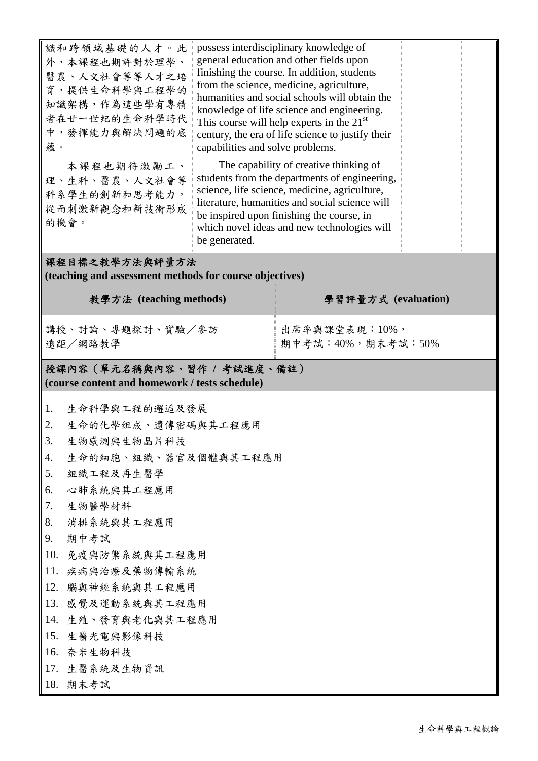| 識和跨領域基礎的人才。此<br>外,本課程也期許對於理學、<br>醫農、人文社會等等人才之培<br>育,提供生命科學與工程學的<br>知識架構,作為這些學有專精<br>者在廿一世紀的生命科學時代<br>中,發揮能力與解決問題的底<br>蘊。<br>本課程也期待激勵工、<br>理、生科、醫農、人文社會等<br>科系學生的創新和思考能力,<br>從而刺激新觀念和新技術形成<br>的機會。                                                                                                                                                                                       | capabilities and solve problems.<br>be generated. | possess interdisciplinary knowledge of<br>general education and other fields upon<br>finishing the course. In addition, students<br>from the science, medicine, agriculture,<br>humanities and social schools will obtain the<br>knowledge of life science and engineering.<br>This course will help experts in the $21st$<br>century, the era of life science to justify their<br>The capability of creative thinking of<br>students from the departments of engineering,<br>science, life science, medicine, agriculture,<br>literature, humanities and social science will<br>be inspired upon finishing the course, in<br>which novel ideas and new technologies will |  |  |  |  |  |
|-----------------------------------------------------------------------------------------------------------------------------------------------------------------------------------------------------------------------------------------------------------------------------------------------------------------------------------------------------------------------------------------|---------------------------------------------------|---------------------------------------------------------------------------------------------------------------------------------------------------------------------------------------------------------------------------------------------------------------------------------------------------------------------------------------------------------------------------------------------------------------------------------------------------------------------------------------------------------------------------------------------------------------------------------------------------------------------------------------------------------------------------|--|--|--|--|--|
| 課程目標之教學方法與評量方法<br>(teaching and assessment methods for course objectives)                                                                                                                                                                                                                                                                                                               |                                                   |                                                                                                                                                                                                                                                                                                                                                                                                                                                                                                                                                                                                                                                                           |  |  |  |  |  |
| 教學方法 (teaching methods)                                                                                                                                                                                                                                                                                                                                                                 |                                                   | 學習評量方式 (evaluation)                                                                                                                                                                                                                                                                                                                                                                                                                                                                                                                                                                                                                                                       |  |  |  |  |  |
| 講授、討論、專題探討、實驗/參訪<br>遠距/網路教學                                                                                                                                                                                                                                                                                                                                                             |                                                   | 出席率與課堂表現:10%,<br>期中考試:40%,期末考試:50%                                                                                                                                                                                                                                                                                                                                                                                                                                                                                                                                                                                                                                        |  |  |  |  |  |
| 授課內容(單元名稱與內容、習作 / 考試進度、備註)<br>(course content and homework / tests schedule)                                                                                                                                                                                                                                                                                                            |                                                   |                                                                                                                                                                                                                                                                                                                                                                                                                                                                                                                                                                                                                                                                           |  |  |  |  |  |
| 生命科學與工程的邂逅及發展<br>1.<br>2.<br>生命的化學组成、遺傳密碼與其工程應用<br>3.<br>生物感測與生物晶片科技<br>生命的細胞、組織、器官及個體與其工程應用<br>4.<br>5.<br>組織工程及再生醫學<br>心肺系統與其工程應用<br>6.<br>7.<br>生物醫學材料<br>消排系統與其工程應用<br>8.<br>9.<br>期中考試<br>10.<br>免疫與防禦系統與其工程應用<br>11.<br>疾病與治療及藥物傳輸系統<br>12.<br>腦與神經系統與其工程應用<br>13.<br>感覺及運動系統與其工程應用<br>生殖、發育與老化與其工程應用<br>14.<br>15.<br>生醫光電與影像科技<br>奈米生物科技<br>16.<br>17. 生醫系統及生物資訊<br>18.<br>期末考試 |                                                   |                                                                                                                                                                                                                                                                                                                                                                                                                                                                                                                                                                                                                                                                           |  |  |  |  |  |